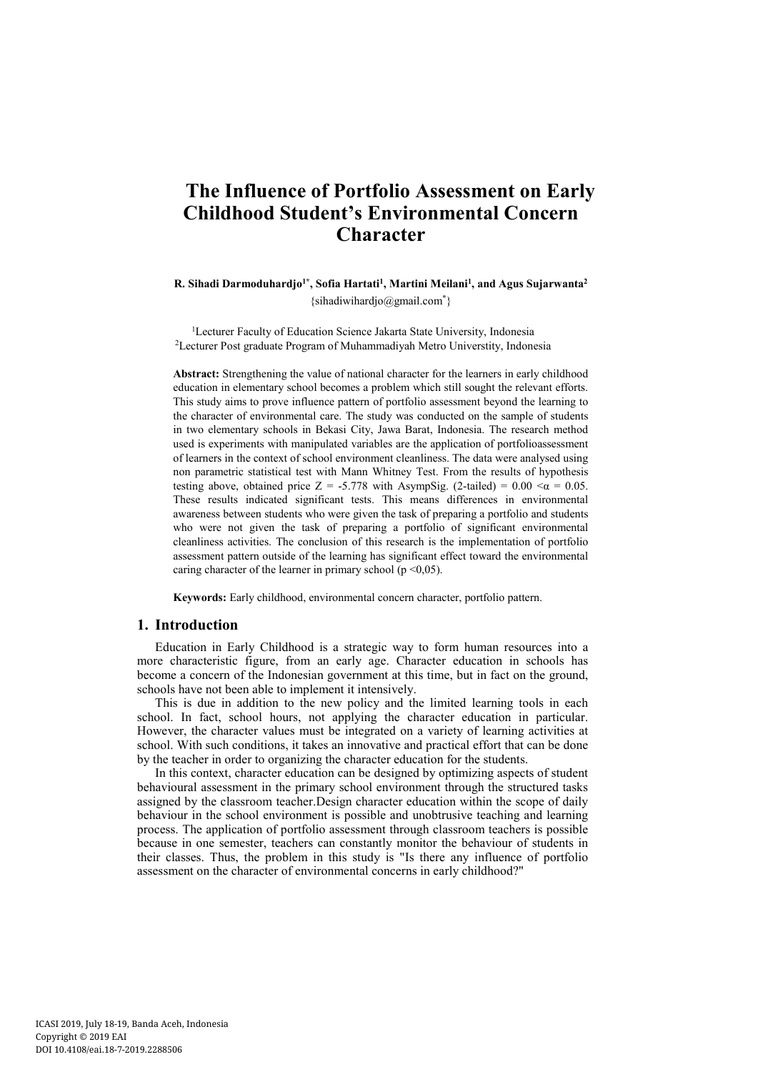# **The Influence of Portfolio Assessment on Early Childhood Student's Environmental Concern Character**

## **R. Sihadi Darmoduhardjo1\*, Sofia Hartati<sup>1</sup> , Martini Meilani<sup>1</sup> , and Agus Sujarwanta<sup>2</sup>** {sihadiwihardjo@gmail.com\*}

<sup>1</sup>Lecturer Faculty of Education Science Jakarta State University, Indonesia <sup>2</sup>Lecturer Post graduate Program of Muhammadiyah Metro Universtity, Indonesia

**Abstract:** Strengthening the value of national character for the learners in early childhood education in elementary school becomes a problem which still sought the relevant efforts. This study aims to prove influence pattern of portfolio assessment beyond the learning to the character of environmental care. The study was conducted on the sample of students in two elementary schools in Bekasi City, Jawa Barat, Indonesia. The research method used is experiments with manipulated variables are the application of portfolioassessment of learners in the context of school environment cleanliness. The data were analysed using non parametric statistical test with Mann Whitney Test. From the results of hypothesis testing above, obtained price  $Z = -5.778$  with AsympSig. (2-tailed) = 0.00  $\alpha$  = 0.05. These results indicated significant tests. This means differences in environmental awareness between students who were given the task of preparing a portfolio and students who were not given the task of preparing a portfolio of significant environmental cleanliness activities. The conclusion of this research is the implementation of portfolio assessment pattern outside of the learning has significant effect toward the environmental caring character of the learner in primary school ( $p \le 0.05$ ).

**Keywords:** Early childhood, environmental concern character, portfolio pattern.

## **1. Introduction**

Education in Early Childhood is a strategic way to form human resources into a more characteristic figure, from an early age. Character education in schools has become a concern of the Indonesian government at this time, but in fact on the ground, schools have not been able to implement it intensively.

This is due in addition to the new policy and the limited learning tools in each school. In fact, school hours, not applying the character education in particular. However, the character values must be integrated on a variety of learning activities at school. With such conditions, it takes an innovative and practical effort that can be done by the teacher in order to organizing the character education for the students.

In this context, character education can be designed by optimizing aspects of student behavioural assessment in the primary school environment through the structured tasks assigned by the classroom teacher.Design character education within the scope of daily behaviour in the school environment is possible and unobtrusive teaching and learning process. The application of portfolio assessment through classroom teachers is possible because in one semester, teachers can constantly monitor the behaviour of students in their classes. Thus, the problem in this study is "Is there any influence of portfolio assessment on the character of environmental concerns in early childhood?"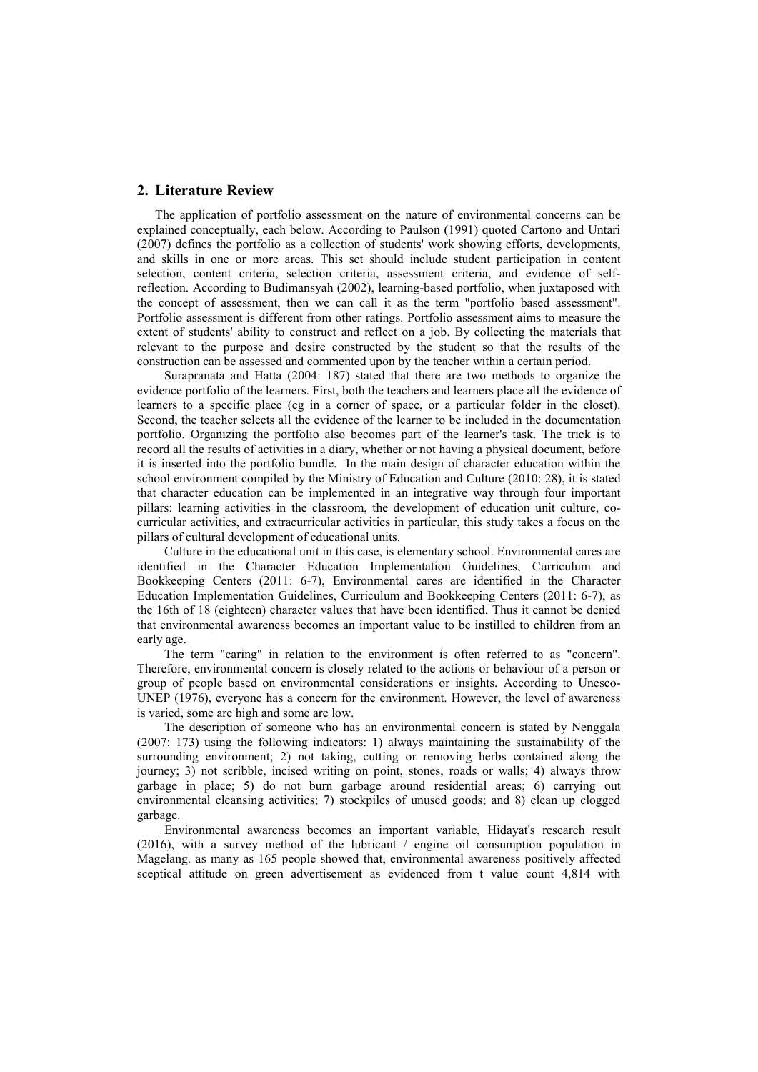# **2. Literature Review**

The application of portfolio assessment on the nature of environmental concerns can be explained conceptually, each below. According to Paulson (1991) quoted Cartono and Untari (2007) defines the portfolio as a collection of students' work showing efforts, developments, and skills in one or more areas. This set should include student participation in content selection, content criteria, selection criteria, assessment criteria, and evidence of selfreflection. According to Budimansyah (2002), learning-based portfolio, when juxtaposed with the concept of assessment, then we can call it as the term "portfolio based assessment". Portfolio assessment is different from other ratings. Portfolio assessment aims to measure the extent of students' ability to construct and reflect on a job. By collecting the materials that relevant to the purpose and desire constructed by the student so that the results of the construction can be assessed and commented upon by the teacher within a certain period.

Surapranata and Hatta (2004: 187) stated that there are two methods to organize the evidence portfolio of the learners. First, both the teachers and learners place all the evidence of learners to a specific place (eg in a corner of space, or a particular folder in the closet). Second, the teacher selects all the evidence of the learner to be included in the documentation portfolio. Organizing the portfolio also becomes part of the learner's task. The trick is to record all the results of activities in a diary, whether or not having a physical document, before it is inserted into the portfolio bundle. In the main design of character education within the school environment compiled by the Ministry of Education and Culture (2010: 28), it is stated that character education can be implemented in an integrative way through four important pillars: learning activities in the classroom, the development of education unit culture, cocurricular activities, and extracurricular activities in particular, this study takes a focus on the pillars of cultural development of educational units.

Culture in the educational unit in this case, is elementary school. Environmental cares are identified in the Character Education Implementation Guidelines, Curriculum and Bookkeeping Centers (2011: 6-7), Environmental cares are identified in the Character Education Implementation Guidelines, Curriculum and Bookkeeping Centers (2011: 6-7), as the 16th of 18 (eighteen) character values that have been identified. Thus it cannot be denied that environmental awareness becomes an important value to be instilled to children from an early age.

The term "caring" in relation to the environment is often referred to as "concern". Therefore, environmental concern is closely related to the actions or behaviour of a person or group of people based on environmental considerations or insights. According to Unesco-UNEP (1976), everyone has a concern for the environment. However, the level of awareness is varied, some are high and some are low.

The description of someone who has an environmental concern is stated by Nenggala (2007: 173) using the following indicators: 1) always maintaining the sustainability of the surrounding environment; 2) not taking, cutting or removing herbs contained along the journey; 3) not scribble, incised writing on point, stones, roads or walls; 4) always throw garbage in place; 5) do not burn garbage around residential areas; 6) carrying out environmental cleansing activities; 7) stockpiles of unused goods; and 8) clean up clogged garbage.

Environmental awareness becomes an important variable, Hidayat's research result (2016), with a survey method of the lubricant / engine oil consumption population in Magelang. as many as 165 people showed that, environmental awareness positively affected sceptical attitude on green advertisement as evidenced from t value count 4,814 with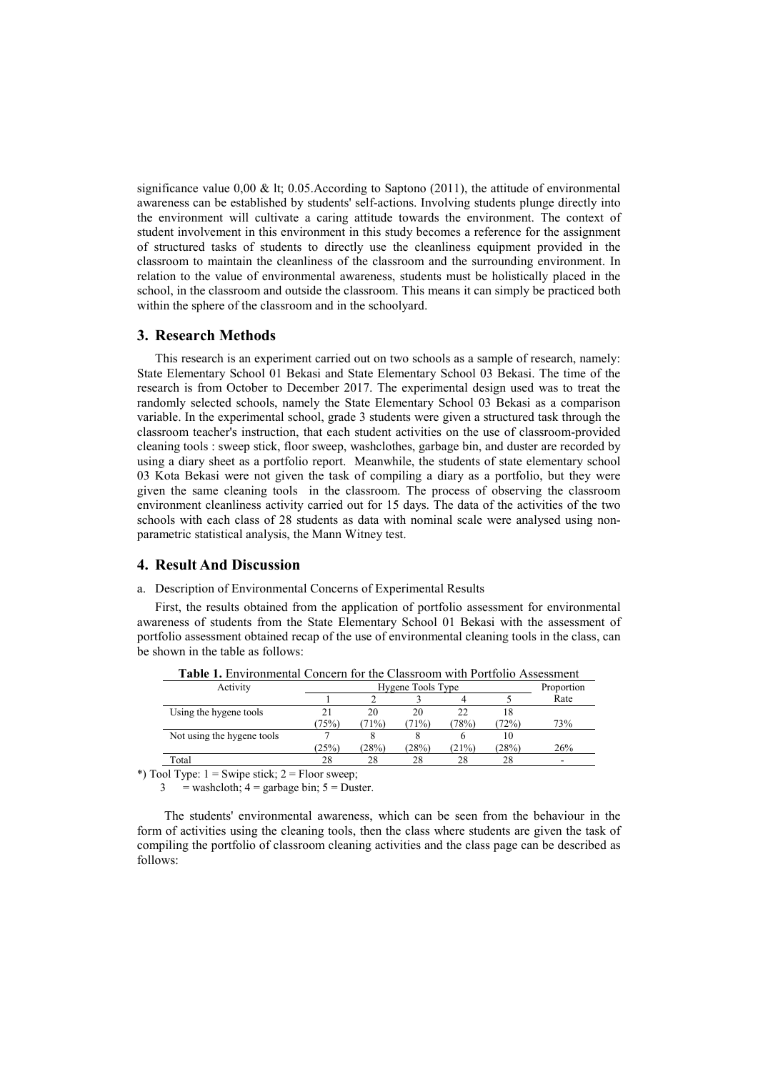significance value  $0.00 \&$  lt; 0.05. According to Saptono (2011), the attitude of environmental awareness can be established by students' self-actions. Involving students plunge directly into the environment will cultivate a caring attitude towards the environment. The context of student involvement in this environment in this study becomes a reference for the assignment of structured tasks of students to directly use the cleanliness equipment provided in the classroom to maintain the cleanliness of the classroom and the surrounding environment. In relation to the value of environmental awareness, students must be holistically placed in the school, in the classroom and outside the classroom. This means it can simply be practiced both within the sphere of the classroom and in the schoolyard.

#### **3. Research Methods**

This research is an experiment carried out on two schools as a sample of research, namely: State Elementary School 01 Bekasi and State Elementary School 03 Bekasi. The time of the research is from October to December 2017. The experimental design used was to treat the randomly selected schools, namely the State Elementary School 03 Bekasi as a comparison variable. In the experimental school, grade 3 students were given a structured task through the classroom teacher's instruction, that each student activities on the use of classroom-provided cleaning tools : sweep stick, floor sweep, washclothes, garbage bin, and duster are recorded by using a diary sheet as a portfolio report. Meanwhile, the students of state elementary school 03 Kota Bekasi were not given the task of compiling a diary as a portfolio, but they were given the same cleaning tools in the classroom. The process of observing the classroom environment cleanliness activity carried out for 15 days. The data of the activities of the two schools with each class of 28 students as data with nominal scale were analysed using nonparametric statistical analysis, the Mann Witney test.

# **4. Result And Discussion**

#### a. Description of Environmental Concerns of Experimental Results

First, the results obtained from the application of portfolio assessment for environmental awareness of students from the State Elementary School 01 Bekasi with the assessment of portfolio assessment obtained recap of the use of environmental cleaning tools in the class, can be shown in the table as follows:

| Activity                   |      | Proportion |       |       |         |            |
|----------------------------|------|------------|-------|-------|---------|------------|
|                            |      |            |       |       |         | Rate       |
| Using the hygene tools     |      | 20         | 20    | 22    | 18      |            |
|                            | 75%) | $71\%)$    | (71%) | 78%   | $72\%)$ | 73%        |
| Not using the hygene tools |      |            |       |       | 10      |            |
|                            | 25%  | (28%)      | (28%) | (21%) | (28%)   | <b>26%</b> |
| Total                      | 28   | 28         | 28    | 28    | 28      | -          |

**Table 1.** Environmental Concern for the Classroom with Portfolio Assessment

\*) Tool Type:  $1 =$  Swipe stick;  $2 =$  Floor sweep;

 $3 =$  washcloth;  $4 =$  garbage bin;  $5 =$  Duster.

The students' environmental awareness, which can be seen from the behaviour in the form of activities using the cleaning tools, then the class where students are given the task of compiling the portfolio of classroom cleaning activities and the class page can be described as follows: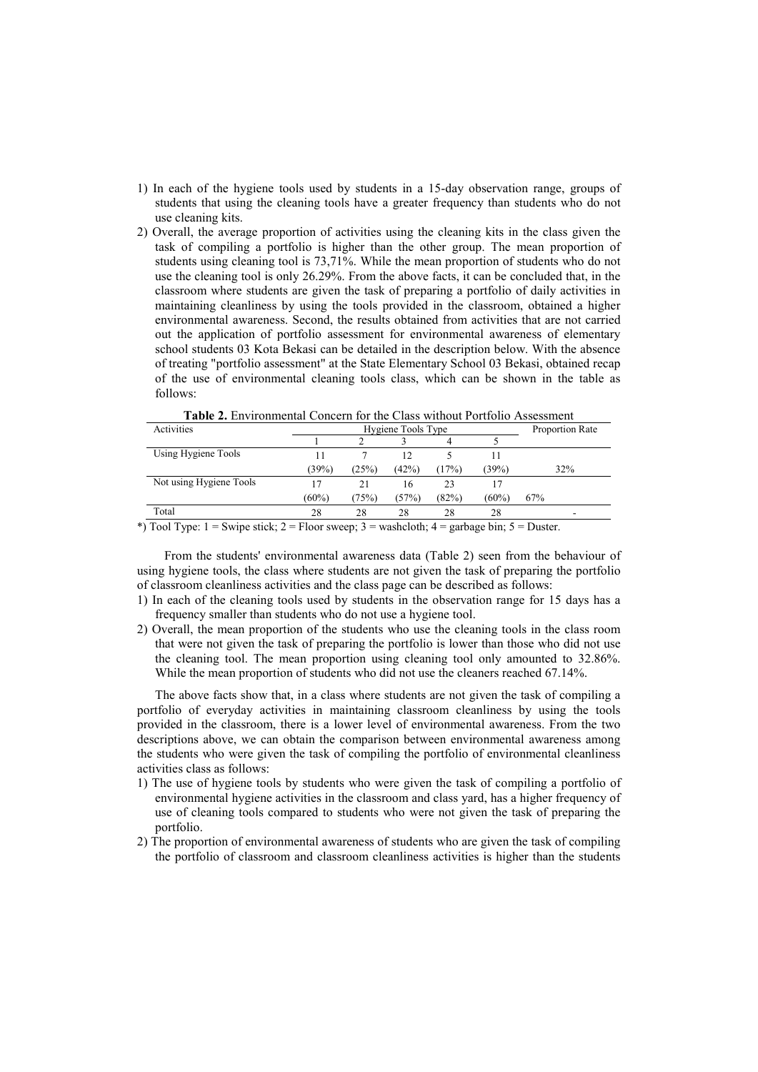- 1) In each of the hygiene tools used by students in a 15-day observation range, groups of students that using the cleaning tools have a greater frequency than students who do not use cleaning kits.
- 2) Overall, the average proportion of activities using the cleaning kits in the class given the task of compiling a portfolio is higher than the other group. The mean proportion of students using cleaning tool is 73,71%. While the mean proportion of students who do not use the cleaning tool is only 26.29%. From the above facts, it can be concluded that, in the classroom where students are given the task of preparing a portfolio of daily activities in maintaining cleanliness by using the tools provided in the classroom, obtained a higher environmental awareness. Second, the results obtained from activities that are not carried out the application of portfolio assessment for environmental awareness of elementary school students 03 Kota Bekasi can be detailed in the description below. With the absence of treating "portfolio assessment" at the State Elementary School 03 Bekasi, obtained recap of the use of environmental cleaning tools class, which can be shown in the table as follows:

| Activities              |          | Hygiene Tools Type |       |       |          | Proportion Rate |
|-------------------------|----------|--------------------|-------|-------|----------|-----------------|
|                         |          |                    |       |       |          |                 |
| Using Hygiene Tools     |          |                    | 12    |       |          |                 |
|                         | (39%)    | (25%)              | (42%) | (17%) | (39%)    | 32%             |
| Not using Hygiene Tools | 17       |                    | ۱6    | 23    |          |                 |
|                         | $(60\%)$ | $75\%)$            | (57%) | (82%) | $(60\%)$ | 67%             |
| Total                   | 28       | 28                 | 28    | 28    | 28       |                 |

**Table 2.** Environmental Concern for the Class without Portfolio Assessment

\*) Tool Type:  $1 =$  Swipe stick;  $2 =$  Floor sweep;  $3 =$  washcloth;  $4 =$  garbage bin;  $5 =$  Duster.

From the students' environmental awareness data (Table 2) seen from the behaviour of using hygiene tools, the class where students are not given the task of preparing the portfolio of classroom cleanliness activities and the class page can be described as follows:

- 1) In each of the cleaning tools used by students in the observation range for 15 days has a frequency smaller than students who do not use a hygiene tool.
- 2) Overall, the mean proportion of the students who use the cleaning tools in the class room that were not given the task of preparing the portfolio is lower than those who did not use the cleaning tool. The mean proportion using cleaning tool only amounted to 32.86%. While the mean proportion of students who did not use the cleaners reached 67.14%.

The above facts show that, in a class where students are not given the task of compiling a portfolio of everyday activities in maintaining classroom cleanliness by using the tools provided in the classroom, there is a lower level of environmental awareness. From the two descriptions above, we can obtain the comparison between environmental awareness among the students who were given the task of compiling the portfolio of environmental cleanliness activities class as follows:

- 1) The use of hygiene tools by students who were given the task of compiling a portfolio of environmental hygiene activities in the classroom and class yard, has a higher frequency of use of cleaning tools compared to students who were not given the task of preparing the portfolio.
- 2) The proportion of environmental awareness of students who are given the task of compiling the portfolio of classroom and classroom cleanliness activities is higher than the students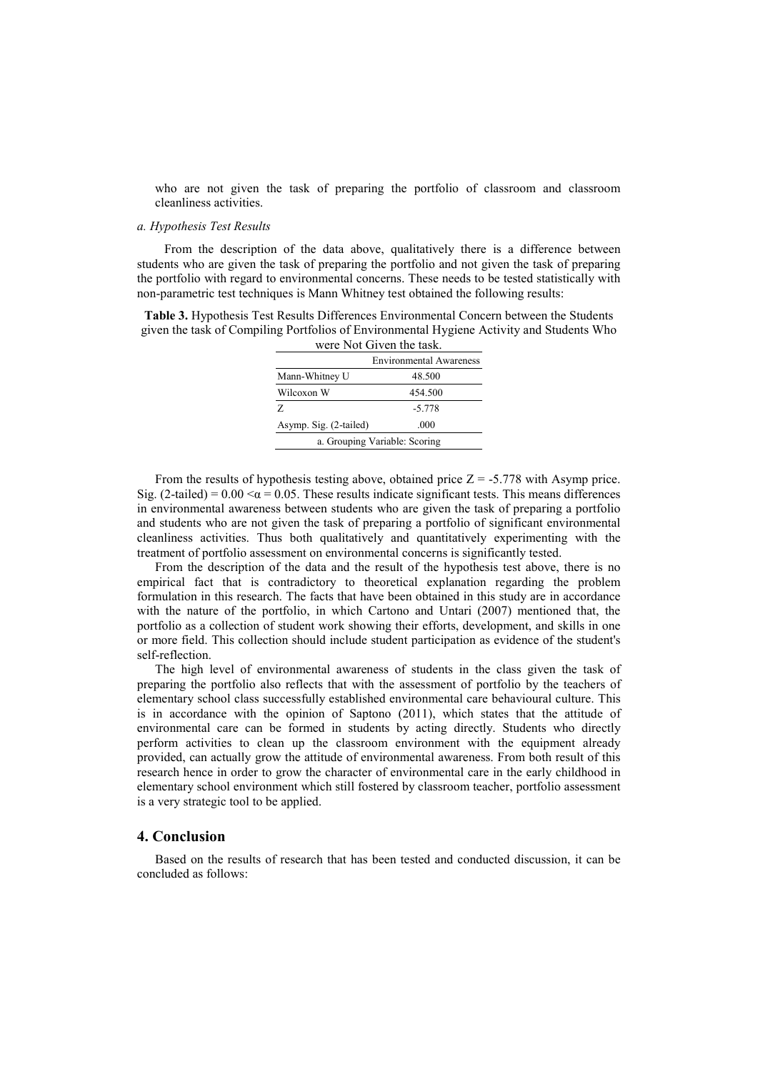who are not given the task of preparing the portfolio of classroom and classroom cleanliness activities.

#### *a. Hypothesis Test Results*

From the description of the data above, qualitatively there is a difference between students who are given the task of preparing the portfolio and not given the task of preparing the portfolio with regard to environmental concerns. These needs to be tested statistically with non-parametric test techniques is Mann Whitney test obtained the following results:

**Table 3.** Hypothesis Test Results Differences Environmental Concern between the Students given the task of Compiling Portfolios of Environmental Hygiene Activity and Students Who<br>were Not Given the task  $N_{\alpha t} C$ 

| were Not Given the task.      |                                |  |  |  |
|-------------------------------|--------------------------------|--|--|--|
|                               | <b>Environmental Awareness</b> |  |  |  |
| Mann-Whitney U                | 48.500                         |  |  |  |
| Wilcoxon W                    | 454.500                        |  |  |  |
| Z                             | $-5.778$                       |  |  |  |
| Asymp. Sig. (2-tailed)        | .000                           |  |  |  |
| a. Grouping Variable: Scoring |                                |  |  |  |

From the results of hypothesis testing above, obtained price  $Z = -5.778$  with Asymp price. Sig. (2-tailed) =  $0.00 \le \alpha$  = 0.05. These results indicate significant tests. This means differences in environmental awareness between students who are given the task of preparing a portfolio and students who are not given the task of preparing a portfolio of significant environmental cleanliness activities. Thus both qualitatively and quantitatively experimenting with the treatment of portfolio assessment on environmental concerns is significantly tested.

From the description of the data and the result of the hypothesis test above, there is no empirical fact that is contradictory to theoretical explanation regarding the problem formulation in this research. The facts that have been obtained in this study are in accordance with the nature of the portfolio, in which Cartono and Untari (2007) mentioned that, the portfolio as a collection of student work showing their efforts, development, and skills in one or more field. This collection should include student participation as evidence of the student's self-reflection.

The high level of environmental awareness of students in the class given the task of preparing the portfolio also reflects that with the assessment of portfolio by the teachers of elementary school class successfully established environmental care behavioural culture. This is in accordance with the opinion of Saptono (2011), which states that the attitude of environmental care can be formed in students by acting directly. Students who directly perform activities to clean up the classroom environment with the equipment already provided, can actually grow the attitude of environmental awareness. From both result of this research hence in order to grow the character of environmental care in the early childhood in elementary school environment which still fostered by classroom teacher, portfolio assessment is a very strategic tool to be applied.

## **4. Conclusion**

Based on the results of research that has been tested and conducted discussion, it can be concluded as follows: